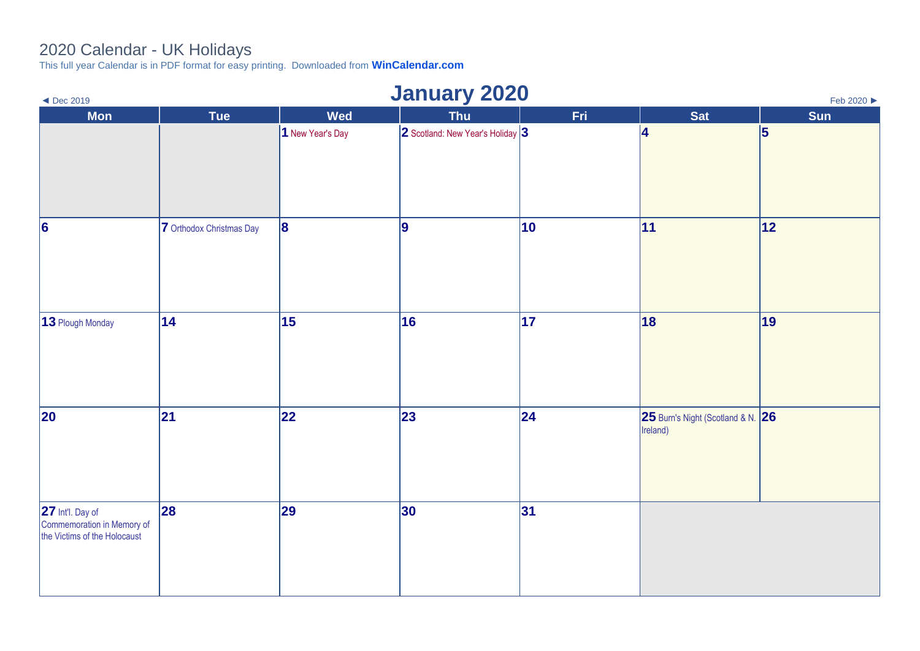## 2020 Calendar - UK Holidays

This full year Calendar is in PDF format for easy printing. Downloaded from **[WinCalendar.com](https://www.wincalendar.com/2021-Calendar-with-UK-Holidays)**

| $\blacktriangleleft$ Dec 2019                                                  |                          |                  | <b>January 2020</b>              |     |                                               | Feb 2020 ▶ |
|--------------------------------------------------------------------------------|--------------------------|------------------|----------------------------------|-----|-----------------------------------------------|------------|
| <b>Mon</b>                                                                     | Tue                      | Wed              | <b>Thu</b>                       | Fri | <b>Sat</b>                                    | Sun        |
|                                                                                |                          | 1 New Year's Day | 2 Scotland: New Year's Holiday 3 |     | 4                                             | 5          |
| $\vert 6 \vert$                                                                | 7 Orthodox Christmas Day | 8                | 9                                | 10  | 11                                            | 12         |
| 13 Plough Monday                                                               | 14                       | 15               | 16                               | 17  | 18                                            | 19         |
| 20                                                                             | 21                       | 22               | 23                               | 24  | 25 Burn's Night (Scotland & N. 26<br>Ireland) |            |
| 27 Int'l. Day of<br>Commemoration in Memory of<br>the Victims of the Holocaust | 28                       | 29               | 30                               | 31  |                                               |            |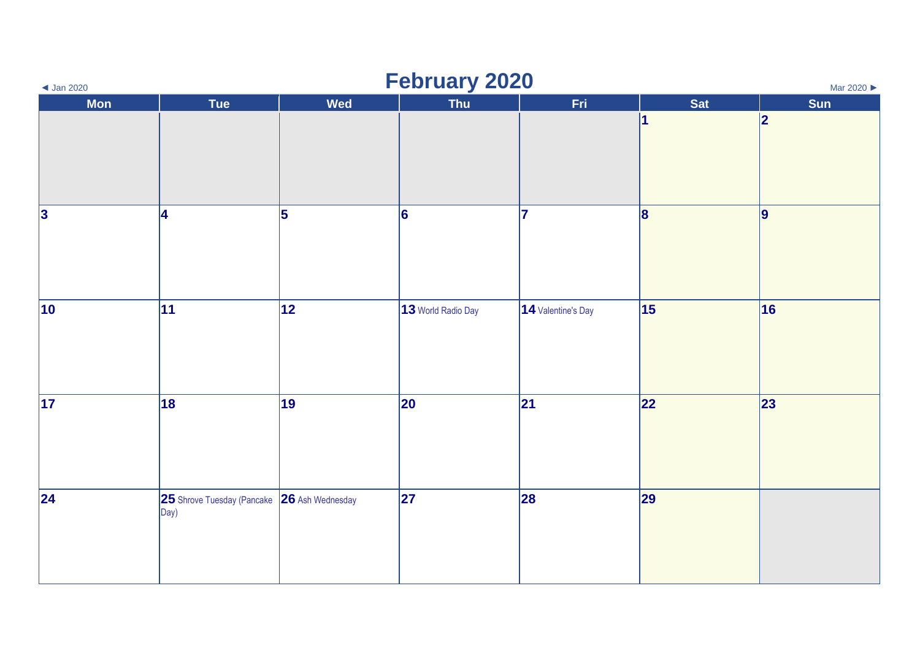| $\triangleleft$ Jan 2020 |                                             |            | <b>February 2020</b> |                    |            | Mar 2020 |
|--------------------------|---------------------------------------------|------------|----------------------|--------------------|------------|----------|
| <b>Mon</b>               | Tue                                         | <b>Wed</b> | <b>Thu</b>           | Fri                | <b>Sat</b> | Sun      |
|                          |                                             |            |                      |                    | 1          | 2        |
|                          |                                             |            |                      |                    |            |          |
|                          |                                             |            |                      |                    |            |          |
| <sub>3</sub>             | 4                                           | 5          | $\vert 6 \vert$      | 17                 | 8          | 9        |
|                          |                                             |            |                      |                    |            |          |
|                          |                                             |            |                      |                    |            |          |
|                          |                                             |            |                      |                    |            |          |
| $ 10\rangle$             | $ 11\rangle$                                | 12         | 13 World Radio Day   | 14 Valentine's Day | 15         | 16       |
|                          |                                             |            |                      |                    |            |          |
|                          |                                             |            |                      |                    |            |          |
|                          |                                             |            |                      |                    |            |          |
| $\vert$ 17               | 18                                          | 19         | 20                   | 21                 | 22         | 23       |
|                          |                                             |            |                      |                    |            |          |
|                          |                                             |            |                      |                    |            |          |
| 24                       | 25 Shrove Tuesday (Pancake 26 Ash Wednesday |            | 27                   | 28                 | 29         |          |
|                          | Day)                                        |            |                      |                    |            |          |
|                          |                                             |            |                      |                    |            |          |
|                          |                                             |            |                      |                    |            |          |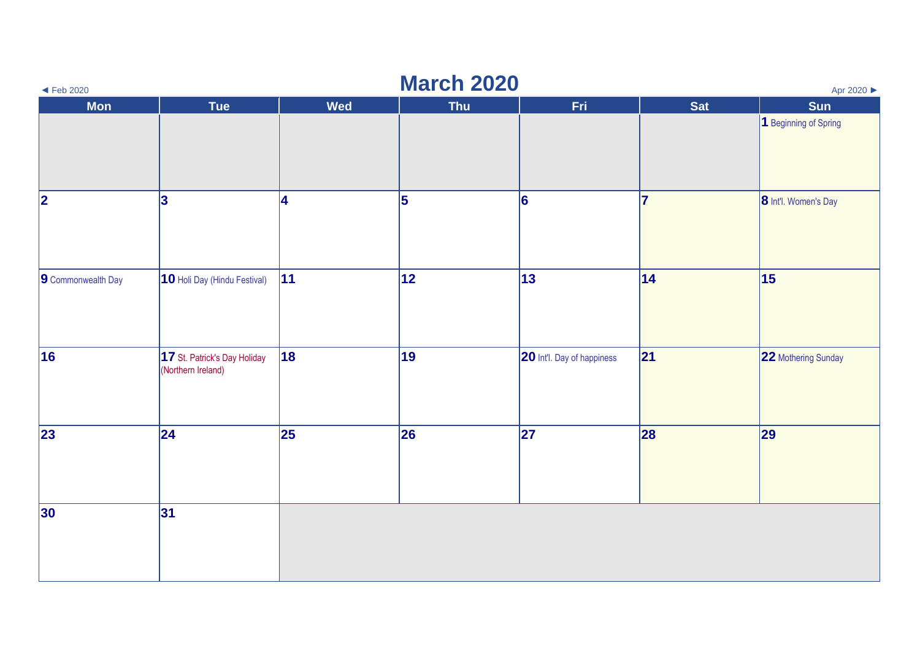| $\blacktriangleleft$ Feb 2020 |                                                    |            | <b>March 2020</b> |                            |            | Apr 2020              |
|-------------------------------|----------------------------------------------------|------------|-------------------|----------------------------|------------|-----------------------|
| <b>Mon</b>                    | Tue                                                | <b>Wed</b> | <b>Thu</b>        | Fri.                       | <b>Sat</b> | Sun                   |
|                               |                                                    |            |                   |                            |            | 1 Beginning of Spring |
| 2                             | 3                                                  | <b>4</b>   | 5                 | 6                          | 17         | 8 Int'l. Women's Day  |
| 9 Commonwealth Day            | 10 Holi Day (Hindu Festival)                       | 11         | 12                | 13                         | 14         | 15                    |
| 16                            | 17 St. Patrick's Day Holiday<br>(Northern Ireland) | 18         | 19                | 20 Int'l. Day of happiness | 21         | 22 Mothering Sunday   |
| 23                            | $\overline{24}$                                    | 25         | 26                | 27                         | 28         | $\vert$ 29            |
| 30                            | 31                                                 |            |                   |                            |            |                       |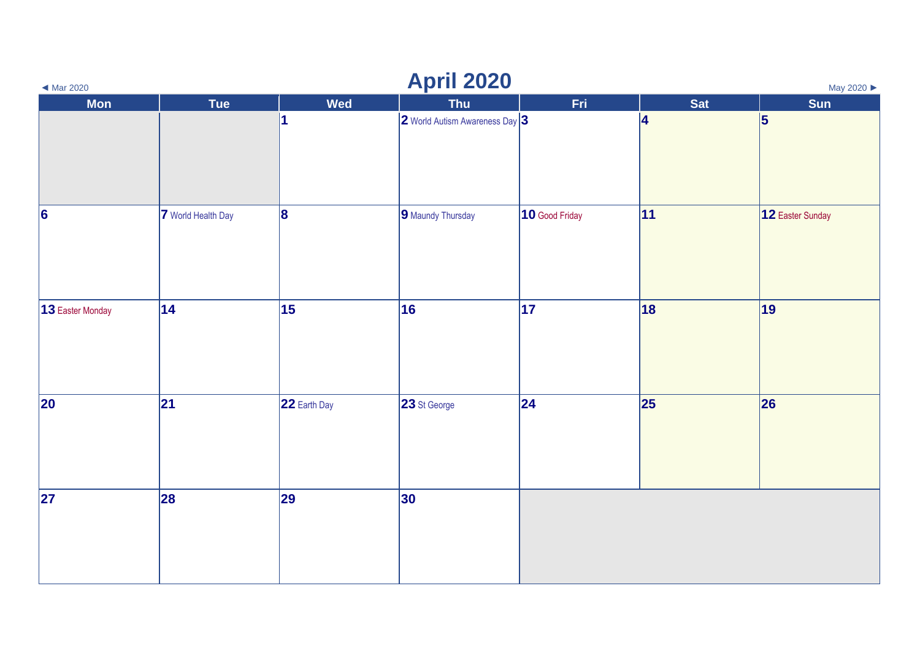| $\triangleleft$ Mar 2020 | <b>April 2020</b><br>May 2020 ▶ |              |                                |                |                         |                  |  |
|--------------------------|---------------------------------|--------------|--------------------------------|----------------|-------------------------|------------------|--|
| <b>Mon</b>               | Tue                             | <b>Wed</b>   | Thu                            | Fri            | Sat                     | Sun              |  |
|                          |                                 | 1            | 2 World Autism Awareness Day 3 |                | $\overline{\mathbf{4}}$ | $\vert 5 \vert$  |  |
| $\vert 6 \vert$          | 7 World Health Day              | 8            | 9 Maundy Thursday              | 10 Good Friday | 11                      | 12 Easter Sunday |  |
| 13 Easter Monday         | 14                              | 15           | 16                             | 17             | 18                      | 19               |  |
| 20                       | 21                              | 22 Earth Day | 23 St George                   | $\vert$ 24     | 25                      | 26               |  |
| 27                       | 28                              | 29           | 30                             |                |                         |                  |  |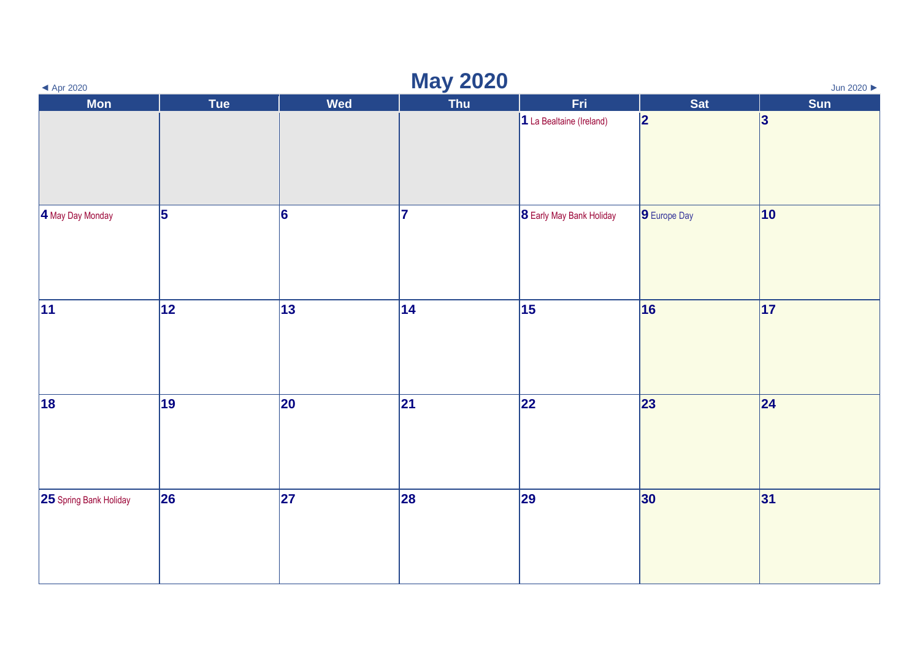| $\blacktriangleleft$ Apr 2020 | <b>May 2020</b><br>Jun 2020 |            |            |                                 |              |              |
|-------------------------------|-----------------------------|------------|------------|---------------------------------|--------------|--------------|
| <b>Mon</b>                    | Tue                         | <b>Wed</b> | <b>Thu</b> | Fri.                            | Sat          | Sun          |
|                               |                             |            |            | 1 La Bealtaine (Ireland)        | 2            | 3            |
| 4 May Day Monday              | $\overline{5}$              | 6          | 17         | <b>8</b> Early May Bank Holiday | 9 Europe Day | $ 10\rangle$ |
| 11                            | 12                          | 13         | 14         | 15                              | 16           | 17           |
| 18                            | 19                          | 20         | 21         | 22                              | 23           | 24           |
| <b>25</b> Spring Bank Holiday | $\overline{\mathbf{26}}$    | 27         | 28         | 29                              | 30           | 31           |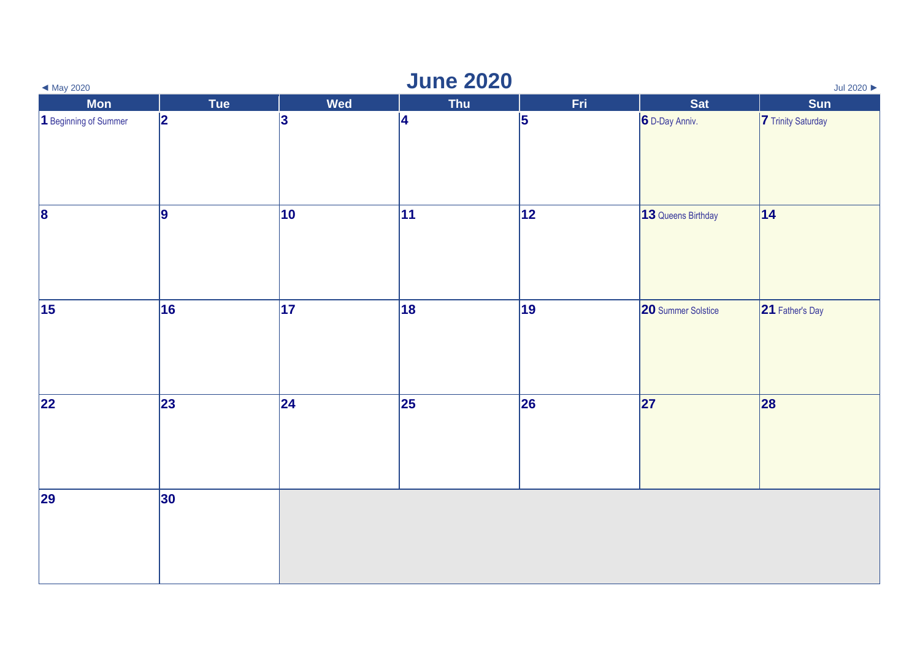| $\blacktriangleleft$ May 2020 |              |            | <b>June 2020</b> |     |                    | Jul 2020           |
|-------------------------------|--------------|------------|------------------|-----|--------------------|--------------------|
| <b>Mon</b>                    | Tue          | Wed        | <b>Thu</b>       | Fri | <b>Sat</b>         | Sun                |
| 1 Beginning of Summer         | 2            | 3          | $ 4\rangle$      | 5   | 6 D-Day Anniv.     | 7 Trinity Saturday |
| $\vert$ 8                     | 9            | 10         | 11               | 12  | 13 Queens Birthday | 14                 |
| $\vert$ 15                    | 16           | 17         | 18               | 19  | 20 Summer Solstice | 21 Father's Day    |
| $ 22\rangle$                  | $ 23\rangle$ | $\vert$ 24 | 25               | 26  | 27                 | 28                 |
| 29                            | $ 30\rangle$ |            |                  |     |                    |                    |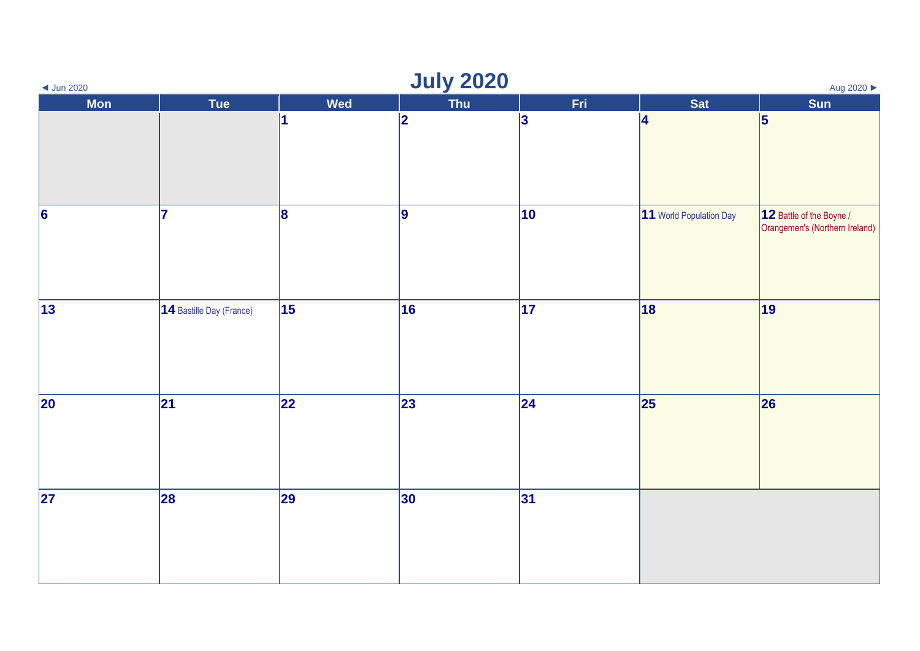| $\triangleleft$ Jun 2020 |                          |            | <b>July 2020</b> |      |                         | Aug 2020 ▶                                                 |
|--------------------------|--------------------------|------------|------------------|------|-------------------------|------------------------------------------------------------|
| <b>Mon</b>               | Tue                      | <b>Wed</b> | <b>Thu</b>       | Fri. | <b>Sat</b>              | Sun                                                        |
|                          |                          | 1          | 2                | 3    | 4                       | 5                                                          |
| $\overline{6}$           | 17                       | 8          | 9                | 10   | 11 World Population Day | 12 Battle of the Boyne /<br>Orangemen's (Northern Ireland) |
| $ 13\rangle$             | 14 Bastille Day (France) | 15         | 16               | 17   | 18                      | 19                                                         |
| $\overline{20}$          | 21                       | 22         | 23               | 24   | 25                      | 26                                                         |
| $\overline{27}$          | 28                       | 29         | 30               | 31   |                         |                                                            |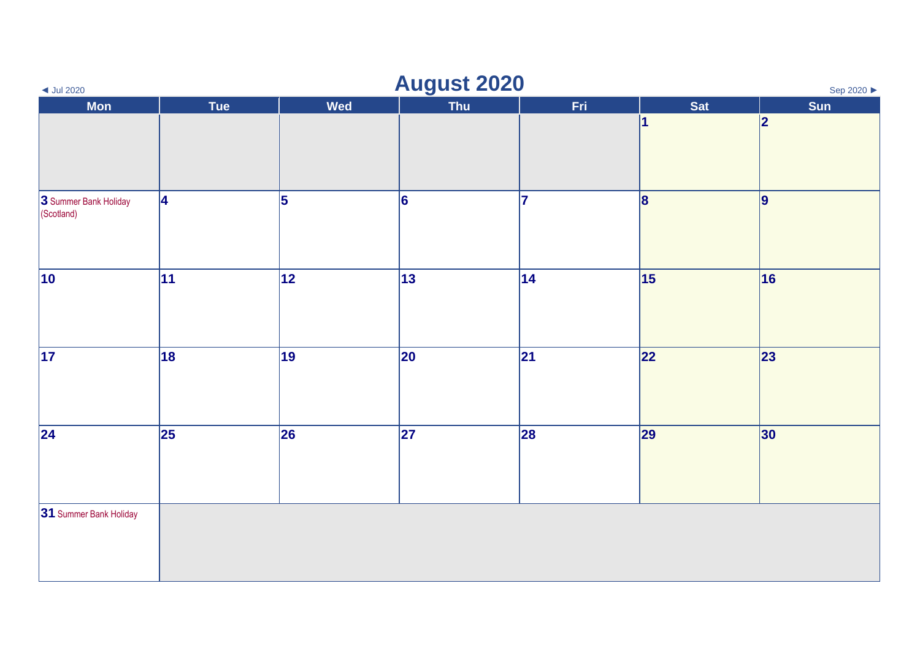| $\triangleleft$ Jul 2020            |                 |                 | <b>August 2020</b> |     |                 | Sep 2020 ▶              |
|-------------------------------------|-----------------|-----------------|--------------------|-----|-----------------|-------------------------|
| <b>Mon</b>                          | Tue             | Wed             | Thu                | Fri | Sat             | Sun                     |
|                                     |                 |                 |                    |     | 1               | $\overline{\mathbf{2}}$ |
| 3 Summer Bank Holiday<br>(Scotland) | 4               | 5               | 6                  | 17  | $\vert 8 \vert$ | 9                       |
| $\overline{10}$                     | $\overline{11}$ | $\overline{12}$ | $\overline{13}$    | 14  | $\overline{15}$ | 16                      |
| $\overline{17}$                     | 18              | 19              | 20                 | 21  | 22              | 23                      |
| $\overline{24}$                     | 25              | 26              | 27                 | 28  | 29              | 30                      |
| 31 Summer Bank Holiday              |                 |                 |                    |     |                 |                         |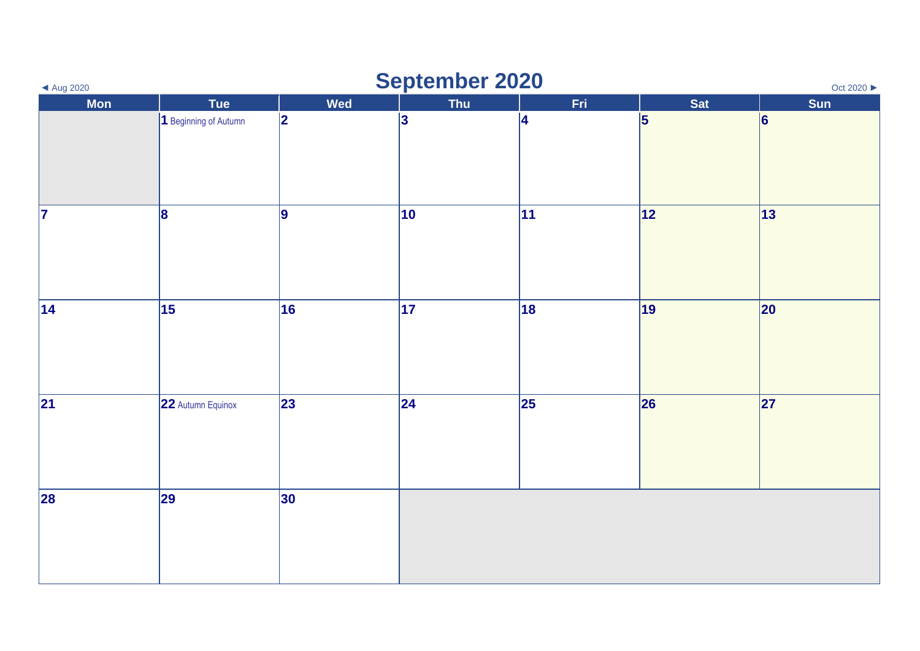| $\blacktriangleleft$ Aug 2020 |                       |     | <b>September 2020</b> |     |     | Oct 2020 ▶ |
|-------------------------------|-----------------------|-----|-----------------------|-----|-----|------------|
| <b>Mon</b>                    | <b>Tue</b>            | Wed | <b>Thu</b>            | Fri | Sat | Sun        |
|                               | 1 Beginning of Autumn | 2   | 3                     | 4   | 5   | 6          |
| $\overline{\mathbf{z}}$       | 8                     | 9   | 10                    | 11  | 12  | 13         |
| 14                            | 15                    | 16  | 17                    | 18  | 19  | 20         |
| 21                            | 22 Autumn Equinox     | 23  | 24                    | 25  | 26  | 27         |
| 28                            | 29                    | 30  |                       |     |     |            |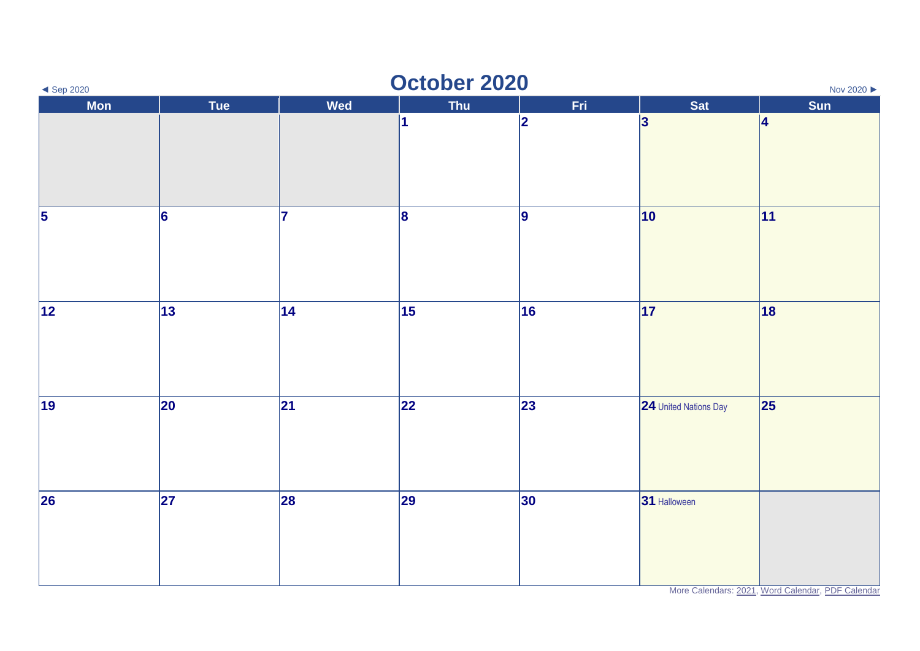| $\triangleleft$ Sep 2020             |                          |                | October 2020 |                |                       | Nov 2020 ▶   |
|--------------------------------------|--------------------------|----------------|--------------|----------------|-----------------------|--------------|
| Mon                                  | Tue                      | <b>Wed</b>     | <b>Thu</b>   | Fri.           | Sat                   | Sun          |
|                                      |                          |                | 1            | $\overline{2}$ | 3                     | 4            |
| $\overline{\overline{\overline{5}}}$ | 6                        | $\overline{7}$ | $\vert$ 8    | 9              | 10                    | $ 11\rangle$ |
| $\overline{12}$                      | 13                       | 14             | 15           | 16             | 17                    | 18           |
| $\overline{19}$                      | 20                       | 21             | 22           | 23             | 24 United Nations Day | 25           |
| $\overline{26}$                      | $\overline{\mathbf{27}}$ | 28             | 29           | 30             | 31 Halloween          |              |

More Calendars: [2021,](https://www.wincalendar.com/Calendar-UK/2021) [Word Calendar,](https://www.wincalendar.com/2021-Calendar-with-UK-Holidays) [PDF Calendar](https://www.wincalendar.com/2021-Calendar-UK-Holidays-PDF)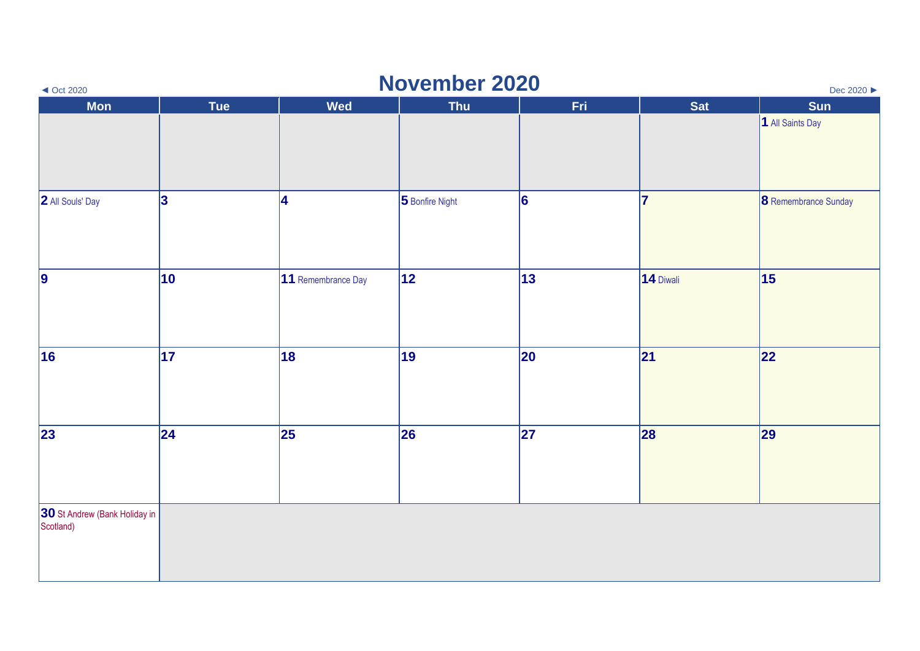| $\triangleleft$ Oct 2020                | <b>November 2020</b><br>Dec 2020 ▶ |                    |                 |                 |           |                             |  |
|-----------------------------------------|------------------------------------|--------------------|-----------------|-----------------|-----------|-----------------------------|--|
| <b>Mon</b>                              | Tue                                | <b>Wed</b>         | <b>Thu</b>      | Fri.            | Sat       | <b>Sun</b>                  |  |
|                                         |                                    |                    |                 |                 |           | 1 All Saints Day            |  |
| 2 All Souls' Day                        | 3                                  | 4                  | 5 Bonfire Night | $\vert 6 \vert$ | 17        | <b>8</b> Remembrance Sunday |  |
| $\overline{9}$                          | 10                                 | 11 Remembrance Day | 12              | 13              | 14 Diwali | 15                          |  |
| 16                                      | 17                                 | 18                 | 19              | 20              | 21        | 22                          |  |
| $\overline{23}$                         | 24                                 | 25                 | 26              | 27              | 28        | 29                          |  |
| 30 St Andrew (Bank Holiday in Scotland) |                                    |                    |                 |                 |           |                             |  |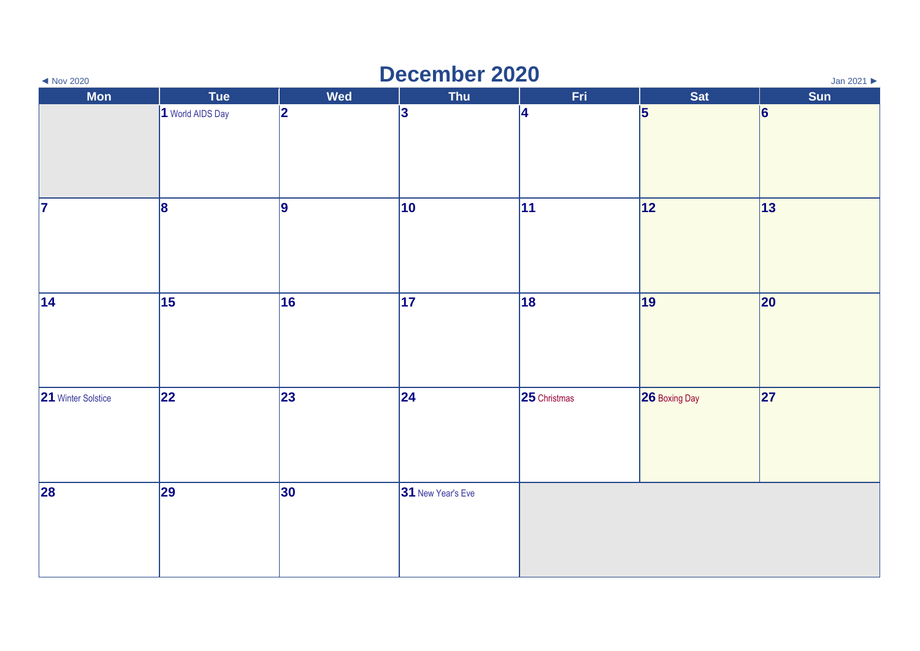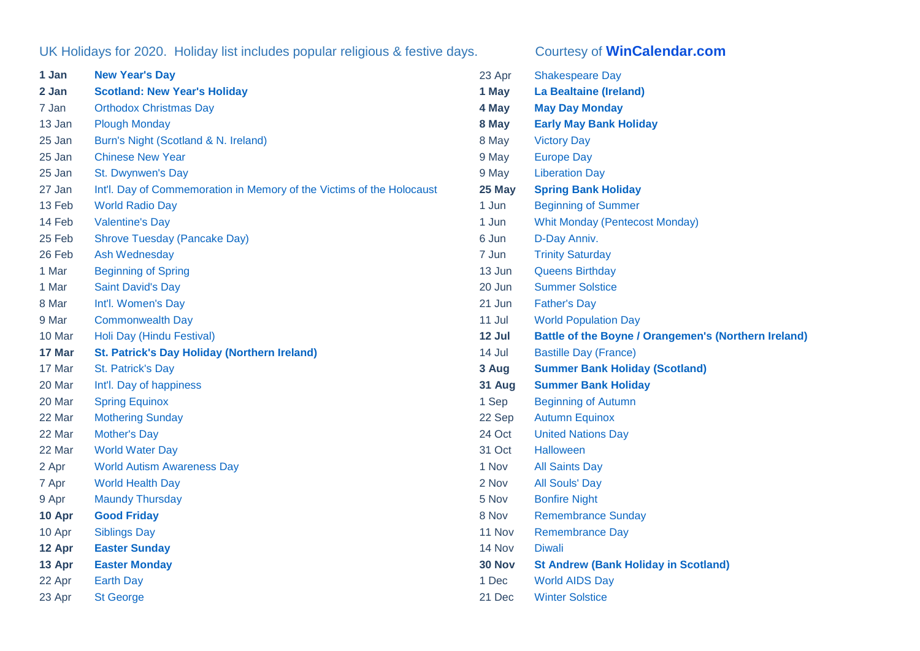## UK Holidays for 2020. Holiday list includes popular religious & festive days. Courtesy of **[WinCalendar.com](https://www.wincalendar.com/Calendar-UK/2021)**

| 1 Jan  | <b>New Year's Day</b>                                                 |
|--------|-----------------------------------------------------------------------|
| 2 Jan  | <b>Scotland: New Year's Holiday</b>                                   |
| 7 Jan  | <b>Orthodox Christmas Day</b>                                         |
| 13 Jan | <b>Plough Monday</b>                                                  |
| 25 Jan | Burn's Night (Scotland & N. Ireland)                                  |
| 25 Jan | <b>Chinese New Year</b>                                               |
| 25 Jan | St. Dwynwen's Day                                                     |
| 27 Jan | Int'l. Day of Commemoration in Memory of the Victims of the Holocaust |
| 13 Feb | <b>World Radio Day</b>                                                |
| 14 Feb | <b>Valentine's Day</b>                                                |
| 25 Feb | <b>Shrove Tuesday (Pancake Day)</b>                                   |
| 26 Feb | <b>Ash Wednesday</b>                                                  |
| 1 Mar  | <b>Beginning of Spring</b>                                            |
| 1 Mar  | <b>Saint David's Day</b>                                              |
| 8 Mar  | Int'l. Women's Day                                                    |
| 9 Mar  | <b>Commonwealth Day</b>                                               |
| 10 Mar | Holi Day (Hindu Festival)                                             |
| 17 Mar | <b>St. Patrick's Day Holiday (Northern Ireland)</b>                   |
| 17 Mar | St. Patrick's Day                                                     |
| 20 Mar | Int'l. Day of happiness                                               |
| 20 Mar | <b>Spring Equinox</b>                                                 |
| 22 Mar | <b>Mothering Sunday</b>                                               |
| 22 Mar | <b>Mother's Day</b>                                                   |
| 22 Mar | <b>World Water Day</b>                                                |
| 2 Apr  | <b>World Autism Awareness Day</b>                                     |
| 7 Apr  | <b>World Health Day</b>                                               |
| 9 Apr  | <b>Maundy Thursday</b>                                                |
| 10 Apr | <b>Good Friday</b>                                                    |
| 10 Apr | <b>Siblings Day</b>                                                   |
| 12 Apr | <b>Easter Sunday</b>                                                  |
| 13 Apr | <b>Easter Monday</b>                                                  |
| 22 Apr | <b>Earth Day</b>                                                      |
| 23 Apr | <b>St George</b>                                                      |

| 23 Apr | <b>Shakespeare Day</b>                                      |
|--------|-------------------------------------------------------------|
| 1 May  | <b>La Bealtaine (Ireland)</b>                               |
| 4 May  | <b>May Day Monday</b>                                       |
| 8 May  | <b>Early May Bank Holiday</b>                               |
| 8 May  | <b>Victory Day</b>                                          |
| 9 May  | <b>Europe Day</b>                                           |
| 9 May  | <b>Liberation Day</b>                                       |
| 25 May | <b>Spring Bank Holiday</b>                                  |
| 1 Jun  | <b>Beginning of Summer</b>                                  |
| 1 Jun  | <b>Whit Monday (Pentecost Monday)</b>                       |
| 6 Jun  | D-Day Anniv.                                                |
| 7 Jun  | <b>Trinity Saturday</b>                                     |
| 13 Jun | <b>Queens Birthday</b>                                      |
| 20 Jun | <b>Summer Solstice</b>                                      |
| 21 Jun | <b>Father's Day</b>                                         |
| 11 Jul | <b>World Population Day</b>                                 |
| 12 Jul | <b>Battle of the Boyne / Orangemen's (Northern Ireland)</b> |
| 14 Jul | <b>Bastille Day (France)</b>                                |
| 3 Aug  | <b>Summer Bank Holiday (Scotland)</b>                       |
| 31 Aug | <b>Summer Bank Holiday</b>                                  |
| 1 Sep  | <b>Beginning of Autumn</b>                                  |
| 22 Sep | <b>Autumn Equinox</b>                                       |
| 24 Oct | <b>United Nations Day</b>                                   |
| 31 Oct | <b>Halloween</b>                                            |
| 1 Nov  | <b>All Saints Day</b>                                       |
| 2 Nov  | <b>All Souls' Day</b>                                       |
| 5 Nov  | <b>Bonfire Night</b>                                        |
| 8 Nov  | <b>Remembrance Sunday</b>                                   |
| 11 Nov | <b>Remembrance Day</b>                                      |
| 14 Nov | Diwali                                                      |
| 30 Nov | <b>St Andrew (Bank Holiday in Scotland)</b>                 |
| 1 Dec  | <b>World AIDS Day</b>                                       |
| 21 Dec | <b>Winter Solstice</b>                                      |